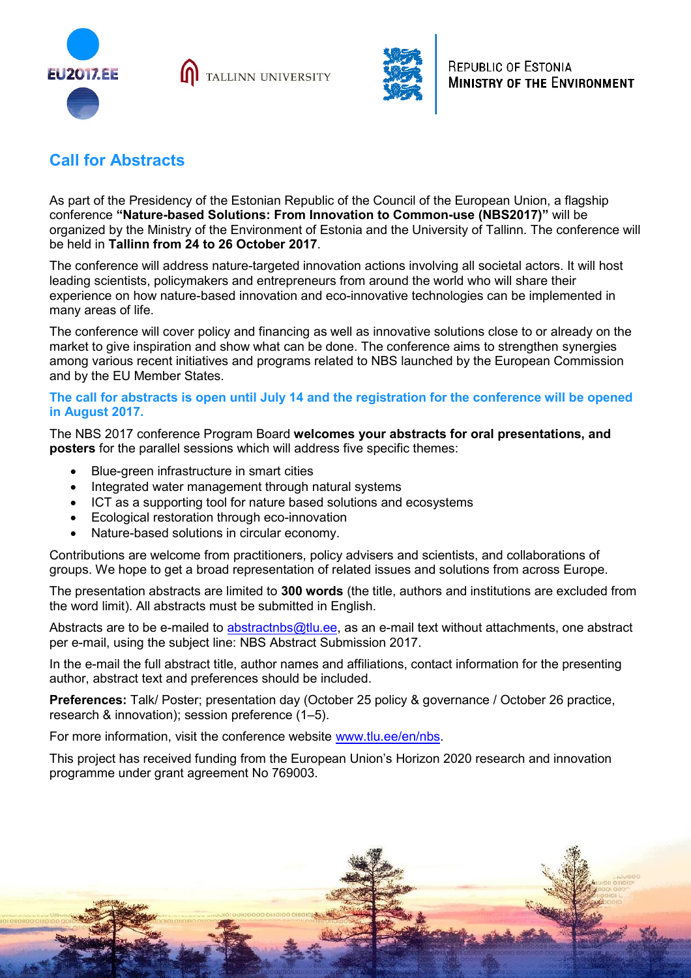

TALLINN UNIVERSITY



## **Call for Abstracts**

As part of the Presidency of the Estonian Republic of the Council of the European Union, a flagship conference **"Nature-based Solutions: From Innovation to Common-use (NBS2017)"** will be organized by the Ministry of the Environment of Estonia and the University of Tallinn. The conference will be held in **Tallinn from 24 to 26 October 2017**.

The conference will address nature-targeted innovation actions involving all societal actors. It will host leading scientists, policymakers and entrepreneurs from around the world who will share their experience on how nature-based innovation and eco-innovative technologies can be implemented in many areas of life.

The conference will cover policy and financing as well as innovative solutions close to or already on the market to give inspiration and show what can be done. The conference aims to strengthen synergies among various recent initiatives and programs related to NBS launched by the European Commission and by the EU Member States.

## **The call for abstracts is open until July 14 and the registration for the conference will be opened in August 2017.**

The NBS 2017 conference Program Board **welcomes your abstracts for oral presentations, and posters** for the parallel sessions which will address five specific themes:

- Blue-green infrastructure in smart cities
- Integrated water management through natural systems
- ICT as a supporting tool for nature based solutions and ecosystems
- Ecological restoration through eco-innovation
- Nature-based solutions in circular economy.

Contributions are welcome from practitioners, policy advisers and scientists, and collaborations of groups. We hope to get a broad representation of related issues and solutions from across Europe.

The presentation abstracts are limited to **300 words** (the title, authors and institutions are excluded from the word limit). All abstracts must be submitted in English.

Abstracts are to be e-mailed to [abstractnbs@tlu.ee,](mailto:abstractnbs@tlu.ee) as an e-mail text without attachments, one abstract per e-mail, using the subject line: NBS Abstract Submission 2017.

In the e-mail the full abstract title, author names and affiliations, contact information for the presenting author, abstract text and preferences should be included.

**Preferences:** Talk/ Poster; presentation day (October 25 policy & governance / October 26 practice, research & innovation); session preference (1–5).

For more information, visit the conference website [www.tlu.ee/en/nbs.](http://www.tlu.ee/en/nbs)

This project has received funding from the European Union's Horizon 2020 research and innovation programme under grant agreement No 769003.